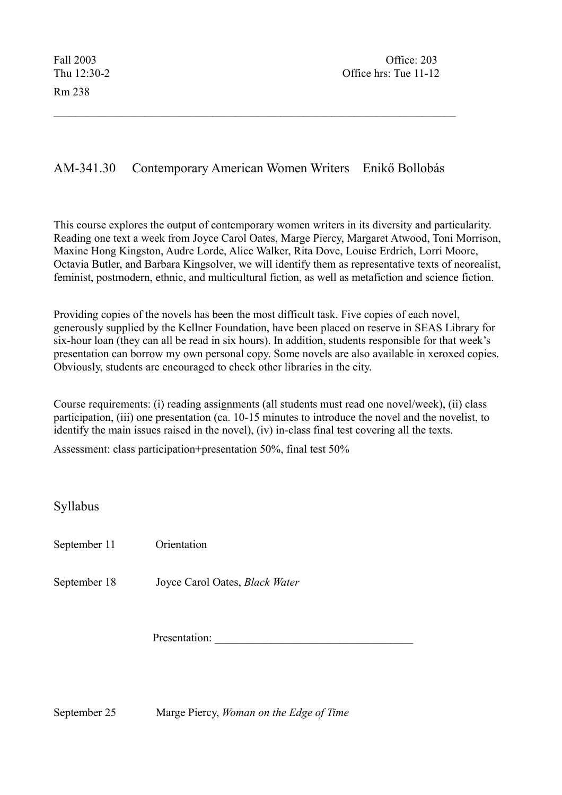Rm 238

## AM-341.30 Contemporary American Women Writers Enikő Bollobás

 $\mathcal{L}_\text{max} = \mathcal{L}_\text{max} = \mathcal{L}_\text{max} = \mathcal{L}_\text{max} = \mathcal{L}_\text{max} = \mathcal{L}_\text{max} = \mathcal{L}_\text{max} = \mathcal{L}_\text{max} = \mathcal{L}_\text{max} = \mathcal{L}_\text{max} = \mathcal{L}_\text{max} = \mathcal{L}_\text{max} = \mathcal{L}_\text{max} = \mathcal{L}_\text{max} = \mathcal{L}_\text{max} = \mathcal{L}_\text{max} = \mathcal{L}_\text{max} = \mathcal{L}_\text{max} = \mathcal{$ 

This course explores the output of contemporary women writers in its diversity and particularity. Reading one text a week from Joyce Carol Oates, Marge Piercy, Margaret Atwood, Toni Morrison, Maxine Hong Kingston, Audre Lorde, Alice Walker, Rita Dove, Louise Erdrich, Lorri Moore, Octavia Butler, and Barbara Kingsolver, we will identify them as representative texts of neorealist, feminist, postmodern, ethnic, and multicultural fiction, as well as metafiction and science fiction.

Providing copies of the novels has been the most difficult task. Five copies of each novel, generously supplied by the Kellner Foundation, have been placed on reserve in SEAS Library for six-hour loan (they can all be read in six hours). In addition, students responsible for that week's presentation can borrow my own personal copy. Some novels are also available in xeroxed copies. Obviously, students are encouraged to check other libraries in the city.

Course requirements: (i) reading assignments (all students must read one novel/week), (ii) class participation, (iii) one presentation (ca. 10-15 minutes to introduce the novel and the novelist, to identify the main issues raised in the novel), (iv) in-class final test covering all the texts.

Assessment: class participation+presentation 50%, final test 50%

Syllabus

September 11 Orientation

September 18 Joyce Carol Oates, *Black Water*

Presentation:

September 25 Marge Piercy, *Woman on the Edge of Time*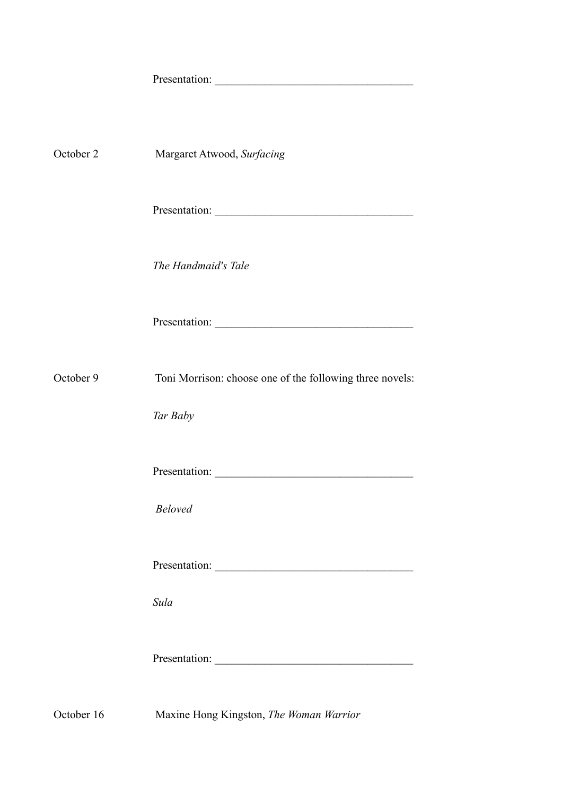| October 2 | Margaret Atwood, Surfacing                               |
|-----------|----------------------------------------------------------|
|           | Presentation:                                            |
|           | The Handmaid's Tale                                      |
|           |                                                          |
| October 9 | Toni Morrison: choose one of the following three novels: |
|           | Tar Baby                                                 |
|           |                                                          |
|           | <b>Beloved</b>                                           |
|           |                                                          |
|           | Sula                                                     |
|           | Presentation:                                            |

October 16 Maxine Hong Kingston, *The Woman Warrior*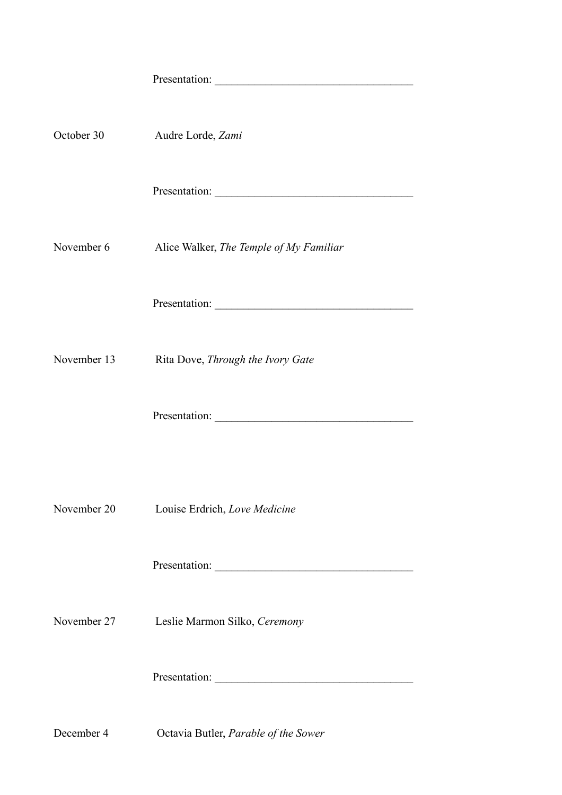| October 30  | Audre Lorde, Zami                       |
|-------------|-----------------------------------------|
|             |                                         |
| November 6  | Alice Walker, The Temple of My Familiar |
|             |                                         |
| November 13 | Rita Dove, Through the Ivory Gate       |
|             |                                         |
|             |                                         |
| November 20 | Louise Erdrich, Love Medicine           |
|             | Presentation:                           |
| November 27 | Leslie Marmon Silko, Ceremony           |
|             |                                         |
|             |                                         |

December 4 Octavia Butler, *Parable of the Sower*